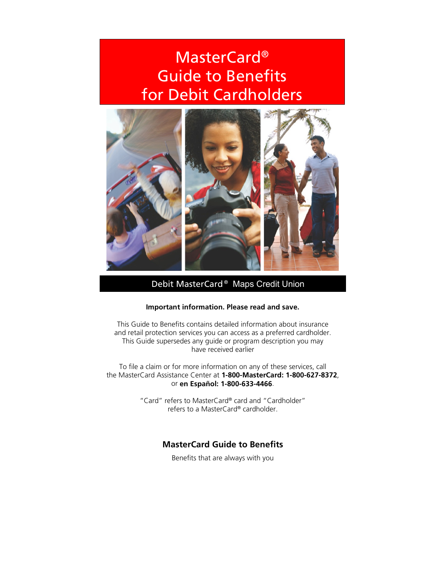# MasterCard® Guide to Benefits for Debit Cardholders



Debit MasterCard ® Maps Credit Union

#### **Important information. Please read and save.**

This Guide to Benefits contains detailed information about insurance and retail protection services you can access as a preferred cardholder. This Guide supersedes any guide or program description you may have received earlier

To file a claim or for more information on any of these services, call the MasterCard Assistance Center at **1-800-MasterCard: 1-800-627-8372**, or **en Español: 1-800-633-4466**.

> "Card" refers to MasterCard® card and "Cardholder" refers to a MasterCard® cardholder.

# **MasterCard Guide to Benefits**

Benefits that are always with you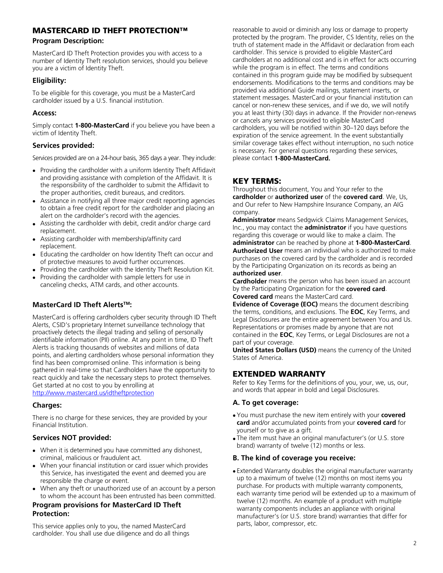## MASTERCARD ID THEFT PROTECTION™

#### **Program Description:**

MasterCard ID Theft Protection provides you with access to a number of Identity Theft resolution services, should you believe you are a victim of Identity Theft.

## **Eligibility:**

To be eligible for this coverage, you must be a MasterCard cardholder issued by a U.S. financial institution.

## **Access:**

Simply contact **1-800-MasterCard** if you believe you have been a victim of Identity Theft.

## **Services provided:**

Services provided are on a 24-hour basis, 365 days a year. They include:

- Providing the cardholder with a uniform Identity Theft Affidavit and providing assistance with completion of the Affidavit. It is the responsibility of the cardholder to submit the Affidavit to the proper authorities, credit bureaus, and creditors.
- Assistance in notifying all three major credit reporting agencies to obtain a free credit report for the cardholder and placing an alert on the cardholder's record with the agencies.
- Assisting the cardholder with debit, credit and/or charge card replacement.
- Assisting cardholder with membership/affinity card replacement.
- Educating the cardholder on how Identity Theft can occur and of protective measures to avoid further occurrences.
- Providing the cardholder with the Identity Theft Resolution Kit.
- Providing the cardholder with sample letters for use in canceling checks, ATM cards, and other accounts.

## **MasterCard ID Theft AlertsTM:**

MasterCard is offering cardholders cyber security through ID Theft Alerts, CSID's proprietary Internet surveillance technology that proactively detects the illegal trading and selling of personally identifiable information (PII) online. At any point in time, ID Theft Alerts is tracking thousands of websites and millions of data points, and alerting cardholders whose personal information they find has been compromised online. This information is being gathered in real-time so that Cardholders have the opportunity to react quickly and take the necessary steps to protect themselves. Get started at no cost to you by enrolling at http://www.mastercard.us/idtheftprotection

#### **Charges:**

There is no charge for these services, they are provided by your Financial Institution.

## **Services NOT provided:**

- When it is determined you have committed any dishonest, criminal, malicious or fraudulent act.
- When your financial institution or card issuer which provides this Service, has investigated the event and deemed you are responsible the charge or event.
- When any theft or unauthorized use of an account by a person to whom the account has been entrusted has been committed.

#### **Program provisions for MasterCard ID Theft Protection:**

This service applies only to you, the named MasterCard cardholder. You shall use due diligence and do all things reasonable to avoid or diminish any loss or damage to property protected by the program. The provider, CS Identity, relies on the truth of statement made in the Affidavit or declaration from each cardholder. This service is provided to eligible MasterCard cardholders at no additional cost and is in effect for acts occurring while the program is in effect. The terms and conditions contained in this program guide may be modified by subsequent endorsements. Modifications to the terms and conditions may be provided via additional Guide mailings, statement inserts, or statement messages. MasterCard or your financial institution can cancel or non-renew these services, and if we do, we will notify you at least thirty (30) days in advance. If the Provider non-renews or cancels any services provided to eligible MasterCard cardholders, you will be notified within 30–120 days before the expiration of the service agreement. In the event substantially similar coverage takes effect without interruption, no such notice is necessary. For general questions regarding these services, please contact **1-800-MasterCard.**

## KEY TERMS:

Throughout this document, You and Your refer to the **cardholder** or **authorized user** of the **covered card**. We, Us, and Our refer to New Hampshire Insurance Company, an AIG company.

**Administrator** means Sedgwick Claims Management Services, Inc., you may contact the **administrator** if you have questions regarding this coverage or would like to make a claim. The **administrator** can be reached by phone at **1-800-MasterCard**. **Authorized User** means an individual who is authorized to make purchases on the covered card by the cardholder and is recorded by the Participating Organization on its records as being an **authorized user**.

**Cardholder** means the person who has been issued an account by the Participating Organization for the **covered card**.

**Covered card** means the MasterCard card.

**Evidence of Coverage (EOC)** means the document describing the terms, conditions, and exclusions. The **EOC**, Key Terms, and Legal Disclosures are the entire agreement between You and Us. Representations or promises made by anyone that are not contained in the **EOC**, Key Terms, or Legal Disclosures are not a part of your coverage.

**United States Dollars (USD)** means the currency of the United States of America.

## EXTENDED WARRANTY

Refer to Key Terms for the definitions of you, your, we, us, our, and words that appear in bold and Legal Disclosures.

#### **A. To get coverage:**

- You must purchase the new item entirely with your **covered card** and/or accumulated points from your **covered card** for yourself or to give as a gift.
- The item must have an original manufacturer's (or U.S. store brand) warranty of twelve (12) months or less.

#### **B. The kind of coverage you receive:**

• Extended Warranty doubles the original manufacturer warranty up to a maximum of twelve (12) months on most items you purchase. For products with multiple warranty components, each warranty time period will be extended up to a maximum of twelve (12) months. An example of a product with multiple warranty components includes an appliance with original manufacturer's (or U.S. store brand) warranties that differ for parts, labor, compressor, etc.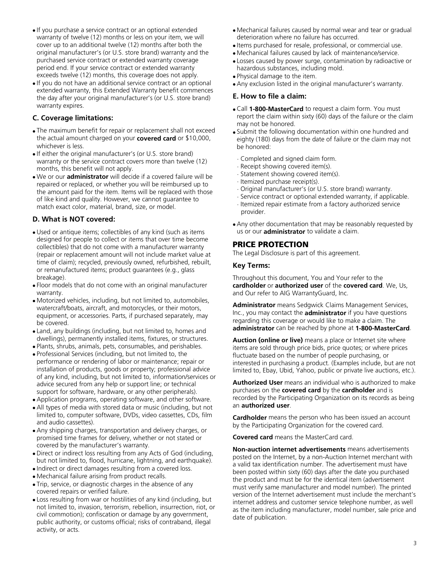- If you purchase a service contract or an optional extended warranty of twelve (12) months or less on your item, we will cover up to an additional twelve (12) months after both the original manufacturer's (or U.S. store brand) warranty and the purchased service contract or extended warranty coverage period end. If your service contract or extended warranty exceeds twelve (12) months, this coverage does not apply.
- If you do not have an additional service contract or an optional extended warranty, this Extended Warranty benefit commences the day after your original manufacturer's (or U.S. store brand) warranty expires.

#### **C. Coverage limitations:**

- The maximum benefit for repair or replacement shall not exceed the actual amount charged on your **covered card** or \$10,000, whichever is less.
- If either the original manufacturer's (or U.S. store brand) warranty or the service contract covers more than twelve (12) months, this benefit will not apply.
- We or our **administrator** will decide if a covered failure will be repaired or replaced, or whether you will be reimbursed up to the amount paid for the item. Items will be replaced with those of like kind and quality. However, we cannot guarantee to match exact color, material, brand, size, or model.

#### **D. What is NOT covered:**

- Used or antique items; collectibles of any kind (such as items designed for people to collect or items that over time become collectibles) that do not come with a manufacturer warranty (repair or replacement amount will not include market value at time of claim); recycled, previously owned, refurbished, rebuilt, or remanufactured items; product guarantees (e.g., glass breakage).
- Floor models that do not come with an original manufacturer warranty.
- Motorized vehicles, including, but not limited to, automobiles, watercraft/boats, aircraft, and motorcycles, or their motors, equipment, or accessories. Parts, if purchased separately, may be covered.
- Land, any buildings (including, but not limited to, homes and dwellings), permanently installed items, fixtures, or structures.
- Plants, shrubs, animals, pets, consumables, and perishables.
- Professional Services (including, but not limited to, the performance or rendering of labor or maintenance; repair or installation of products, goods or property; professional advice of any kind, including, but not limited to, information/services or advice secured from any help or support line; or technical support for software, hardware, or any other peripherals).
- Application programs, operating software, and other software.
- All types of media with stored data or music (including, but not limited to, computer software, DVDs, video cassettes, CDs, film and audio cassettes).
- Any shipping charges, transportation and delivery charges, or promised time frames for delivery, whether or not stated or covered by the manufacturer's warranty.
- Direct or indirect loss resulting from any Acts of God (including, but not limited to, flood, hurricane, lightning, and earthquake).
- Indirect or direct damages resulting from a covered loss.
- Mechanical failure arising from product recalls.
- Trip, service, or diagnostic charges in the absence of any covered repairs or verified failure.
- Loss resulting from war or hostilities of any kind (including, but not limited to, invasion, terrorism, rebellion, insurrection, riot, or civil commotion); confiscation or damage by any government, public authority, or customs official; risks of contraband, illegal activity, or acts.
- Mechanical failures caused by normal wear and tear or gradual deterioration where no failure has occurred.
- Items purchased for resale, professional, or commercial use.
- Mechanical failures caused by lack of maintenance/service.
- Losses caused by power surge, contamination by radioactive or hazardous substances, including mold.
- Physical damage to the item.
- Any exclusion listed in the original manufacturer's warranty.

## **E. How to file a claim:**

- Call **1-800-MasterCard** to request a claim form. You must report the claim within sixty (60) days of the failure or the claim may not be honored.
- Submit the following documentation within one hundred and eighty (180) days from the date of failure or the claim may not be honored:
- Completed and signed claim form.
- Receipt showing covered item(s).
- Statement showing covered item(s).
- Itemized purchase receipt(s).
- Original manufacturer's (or U.S. store brand) warranty.
- Service contract or optional extended warranty, if applicable.
- Itemized repair estimate from a factory authorized service provider.
- Any other documentation that may be reasonably requested by us or our **administrator** to validate a claim.

## PRICE PROTECTION

The Legal Disclosure is part of this agreement.

#### **Key Terms:**

Throughout this document, You and Your refer to the **cardholder** or **authorized user** of the **covered card**. We, Us, and Our refer to AIG WarrantyGuard, Inc.

**Administrator** means Sedgwick Claims Management Services, Inc., you may contact the **administrator** if you have questions regarding this coverage or would like to make a claim. The **administrator** can be reached by phone at **1-800-MasterCard**.

**Auction (online or live)** means a place or Internet site where items are sold through price bids, price quotes; or where prices fluctuate based on the number of people purchasing, or interested in purchasing a product. (Examples include, but are not limited to, Ebay, Ubid, Yahoo, public or private live auctions, etc.).

**Authorized User** means an individual who is authorized to make purchases on the **covered card** by the **cardholder** and is recorded by the Participating Organization on its records as being an **authorized user**.

**Cardholder** means the person who has been issued an account by the Participating Organization for the covered card.

**Covered card** means the MasterCard card.

**Non-auction internet advertisements** means advertisements posted on the Internet, by a non-Auction Internet merchant with a valid tax identification number. The advertisement must have been posted within sixty (60) days after the date you purchased the product and must be for the identical item (advertisement must verify same manufacturer and model number). The printed version of the Internet advertisement must include the merchant's internet address and customer service telephone number, as well as the item including manufacturer, model number, sale price and date of publication.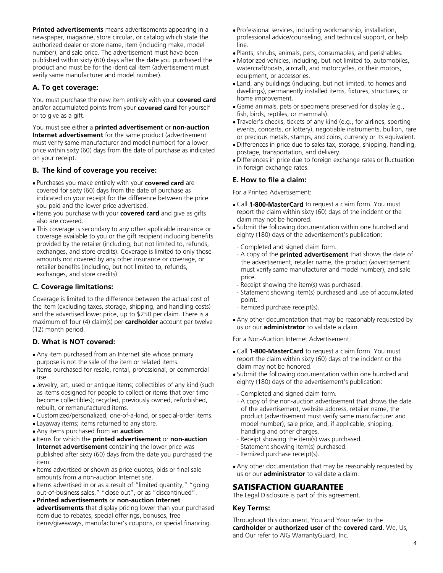**Printed advertisements** means advertisements appearing in a newspaper, magazine, store circular, or catalog which state the authorized dealer or store name, item (including make, model number), and sale price. The advertisement must have been published within sixty (60) days after the date you purchased the product and must be for the identical item (advertisement must verify same manufacturer and model number).

#### **A. To get coverage:**

You must purchase the new item entirely with your **covered card** and/or accumulated points from your **covered card** for yourself or to give as a gift.

You must see either a **printed advertisement** or **non-auction Internet advertisement** for the same product (advertisement must verify same manufacturer and model number) for a lower price within sixty (60) days from the date of purchase as indicated on your receipt.

#### **B. The kind of coverage you receive:**

- Purchases you make entirely with your **covered card** are covered for sixty (60) days from the date of purchase as indicated on your receipt for the difference between the price you paid and the lower price advertised.
- Items you purchase with your **covered card** and give as gifts also are covered.
- This coverage is secondary to any other applicable insurance or coverage available to you or the gift recipient including benefits provided by the retailer (including, but not limited to, refunds, exchanges, and store credits). Coverage is limited to only those amounts not covered by any other insurance or coverage, or retailer benefits (including, but not limited to, refunds, exchanges, and store credits).

#### **C. Coverage limitations:**

Coverage is limited to the difference between the actual cost of the item (excluding taxes, storage, shipping, and handling costs) and the advertised lower price, up to \$250 per claim. There is a maximum of four (4) claim(s) per **cardholder** account per twelve (12) month period.

#### **D. What is NOT covered:**

- Any item purchased from an Internet site whose primary purpose is not the sale of the item or related items.
- Items purchased for resale, rental, professional, or commercial use.
- Jewelry, art, used or antique items; collectibles of any kind (such as items designed for people to collect or items that over time become collectibles); recycled, previously owned, refurbished, rebuilt, or remanufactured items.
- Customized/personalized, one-of-a-kind, or special-order items.
- Layaway items; items returned to any store.
- Any items purchased from an **auction**.
- Items for which the **printed advertisement** or **non-auction Internet advertisement** containing the lower price was published after sixty (60) days from the date you purchased the item.
- Items advertised or shown as price quotes, bids or final sale amounts from a non-auction Internet site.
- Items advertised in or as a result of "limited quantity," "going out-of-business sales," "close out", or as "discontinued".
- **Printed advertisements** or **non-auction Internet advertisements** that display pricing lower than your purchased item due to rebates, special offerings, bonuses, free items/giveaways, manufacturer's coupons, or special financing.
- Professional services, including workmanship, installation, professional advice/counseling, and technical support, or help line.
- Plants, shrubs, animals, pets, consumables, and perishables.
- Motorized vehicles, including, but not limited to, automobiles, watercraft/boats, aircraft, and motorcycles, or their motors, equipment, or accessories.
- Land, any buildings (including, but not limited, to homes and dwellings), permanently installed items, fixtures, structures, or home improvement.
- Game animals, pets or specimens preserved for display (e.g., fish, birds, reptiles, or mammals).
- Traveler's checks, tickets of any kind (e.g., for airlines, sporting events, concerts, or lottery), negotiable instruments, bullion, rare or precious metals, stamps, and coins, currency or its equivalent.
- Differences in price due to sales tax, storage, shipping, handling, postage, transportation, and delivery.
- Differences in price due to foreign exchange rates or fluctuation in foreign exchange rates.

#### **E. How to file a claim:**

For a Printed Advertisement:

- Call **1-800-MasterCard** to request a claim form. You must report the claim within sixty (60) days of the incident or the claim may not be honored.
- Submit the following documentation within one hundred and eighty (180) days of the advertisement's publication:
- Completed and signed claim form.
- A copy of the **printed advertisement** that shows the date of the advertisement, retailer name, the product (advertisement must verify same manufacturer and model number), and sale price.
- Receipt showing the item(s) was purchased.
- Statement showing item(s) purchased and use of accumulated point.
- Itemized purchase receipt(s).
- Any other documentation that may be reasonably requested by us or our **administrator** to validate a claim.

For a Non-Auction Internet Advertisement:

- Call **1-800-MasterCard** to request a claim form. You must report the claim within sixty (60) days of the incident or the claim may not be honored.
- Submit the following documentation within one hundred and eighty (180) days of the advertisement's publication:
- Completed and signed claim form.
- A copy of the non-auction advertisement that shows the date of the advertisement, website address, retailer name, the product (advertisement must verify same manufacturer and model number), sale price, and, if applicable, shipping, handling and other charges.
- Receipt showing the item(s) was purchased.
- Statement showing item(s) purchased.
- Itemized purchase receipt(s).
- Any other documentation that may be reasonably requested by us or our **administrator** to validate a claim.

## SATISFACTION GUARANTEE

The Legal Disclosure is part of this agreement.

#### **Key Terms:**

Throughout this document, You and Your refer to the **cardholder** or **authorized user** of the **covered card**. We, Us, and Our refer to AIG WarrantyGuard, Inc.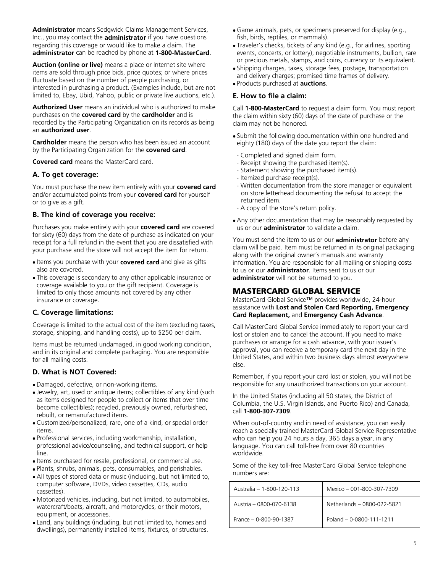**Administrator** means Sedgwick Claims Management Services, Inc., you may contact the **administrator** if you have questions regarding this coverage or would like to make a claim. The **administrator** can be reached by phone at **1-800-MasterCard**.

**Auction (online or live)** means a place or Internet site where items are sold through price bids, price quotes; or where prices fluctuate based on the number of people purchasing, or interested in purchasing a product. (Examples include, but are not limited to, Ebay, Ubid, Yahoo, public or private live auctions, etc.).

**Authorized User** means an individual who is authorized to make purchases on the **covered card** by the **cardholder** and is recorded by the Participating Organization on its records as being an **authorized user**.

**Cardholder** means the person who has been issued an account by the Participating Organization for the **covered card**.

**Covered card** means the MasterCard card.

#### **A. To get coverage:**

You must purchase the new item entirely with your **covered card** and/or accumulated points from your **covered card** for yourself or to give as a gift.

#### **B. The kind of coverage you receive:**

Purchases you make entirely with your **covered card** are covered for sixty (60) days from the date of purchase as indicated on your receipt for a full refund in the event that you are dissatisfied with your purchase and the store will not accept the item for return.

- Items you purchase with your **covered card** and give as gifts also are covered.
- This coverage is secondary to any other applicable insurance or coverage available to you or the gift recipient. Coverage is limited to only those amounts not covered by any other insurance or coverage.

#### **C. Coverage limitations:**

Coverage is limited to the actual cost of the item (excluding taxes, storage, shipping, and handling costs), up to \$250 per claim.

Items must be returned undamaged, in good working condition, and in its original and complete packaging. You are responsible for all mailing costs.

#### **D. What is NOT Covered:**

- Damaged, defective, or non-working items.
- Jewelry, art, used or antique items; collectibles of any kind (such as items designed for people to collect or items that over time become collectibles); recycled, previously owned, refurbished, rebuilt, or remanufactured items.
- Customized/personalized, rare, one of a kind, or special order items.
- Professional services, including workmanship, installation, professional advice/counseling, and technical support, or help line.
- Items purchased for resale, professional, or commercial use.
- Plants, shrubs, animals, pets, consumables, and perishables.
- All types of stored data or music (including, but not limited to, computer software, DVDs, video cassettes, CDs, audio cassettes).
- Motorized vehicles, including, but not limited, to automobiles, watercraft/boats, aircraft, and motorcycles, or their motors, equipment, or accessories.
- Land, any buildings (including, but not limited to, homes and dwellings), permanently installed items, fixtures, or structures.
- Game animals, pets, or specimens preserved for display (e.g., fish, birds, reptiles, or mammals).
- Traveler's checks, tickets of any kind (e.g., for airlines, sporting events, concerts, or lottery), negotiable instruments, bullion, rare or precious metals, stamps, and coins, currency or its equivalent.
- Shipping charges, taxes, storage fees, postage, transportation and delivery charges; promised time frames of delivery.
- Products purchased at **auctions**.

#### **E. How to file a claim:**

Call **1-800-MasterCard** to request a claim form. You must report the claim within sixty (60) days of the date of purchase or the claim may not be honored.

- Submit the following documentation within one hundred and eighty (180) days of the date you report the claim:
- Completed and signed claim form.
- Receipt showing the purchased item(s).
- Statement showing the purchased item(s).
- Itemized purchase receipt(s).
- Written documentation from the store manager or equivalent on store letterhead documenting the refusal to accept the returned item.
- A copy of the store's return policy.
- Any other documentation that may be reasonably requested by us or our **administrator** to validate a claim.

You must send the item to us or our **administrator** before any claim will be paid. Item must be returned in its original packaging along with the original owner's manuals and warranty information. You are responsible for all mailing or shipping costs to us or our **administrator**. Items sent to us or our **administrator** will not be returned to you.

## MASTERCARD GLOBAL SERVICE

MasterCard Global Service™ provides worldwide, 24-hour assistance with **Lost and Stolen Card Reporting, Emergency Card Replacement,** and **Emergency Cash Advance**.

Call MasterCard Global Service immediately to report your card lost or stolen and to cancel the account. If you need to make purchases or arrange for a cash advance, with your issuer's approval, you can receive a temporary card the next day in the United States, and within two business days almost everywhere else.

Remember, if you report your card lost or stolen, you will not be responsible for any unauthorized transactions on your account.

In the United States (including all 50 states, the District of Columbia, the U.S. Virgin Islands, and Puerto Rico) and Canada, call **1-800-307-7309**.

When out-of-country and in need of assistance, you can easily reach a specially trained MasterCard Global Service Representative who can help you 24 hours a day, 365 days a year, in any language. You can call toll-free from over 80 countries worldwide.

Some of the key toll-free MasterCard Global Service telephone numbers are:

| Australia - 1-800-120-113 | Mexico - 001-800-307-7309        |
|---------------------------|----------------------------------|
| Austria - 0800-070-6138   | Netherlands - 0800-022-5821      |
| $France - 0-800-90-1387$  | Poland - $0 - 0800 - 111 - 1211$ |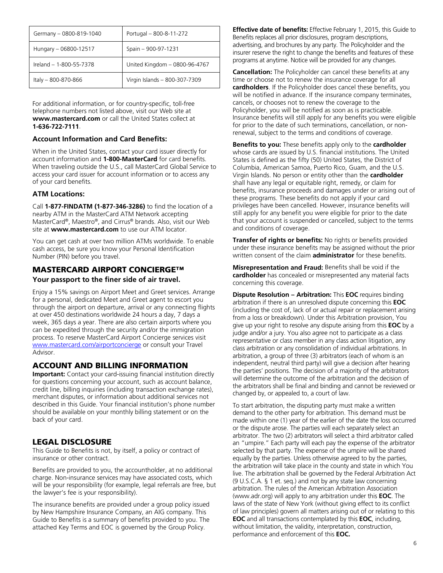| Germany - 0800-819-1040 | Portugal - 800-8-11-272       |
|-------------------------|-------------------------------|
| Hungary - 06800-12517   | Spain - 900-97-1231           |
| Ireland - 1-800-55-7378 | United Kingdom - 0800-96-4767 |
| Italy - 800-870-866     | Virgin Islands - 800-307-7309 |

For additional information, or for country-specific, toll-free telephone numbers not listed above, visit our Web site at **www.mastercard.com** or call the United States collect at **1-636-722-7111**.

#### **Account Information and Card Benefits:**

When in the United States, contact your card issuer directly for account information and **1-800-MasterCard** for card benefits. When traveling outside the U.S., call MasterCard Global Service to access your card issuer for account information or to access any of your card benefits.

#### **ATM Locations:**

Call **1-877-FINDATM (1-877-346-3286)** to find the location of a nearby ATM in the MasterCard ATM Network accepting MasterCard®, Maestro®, and Cirrus® brands. Also, visit our Web site at **www.mastercard.com** to use our ATM locator.

You can get cash at over two million ATMs worldwide. To enable cash access, be sure you know your Personal Identification Number (PIN) before you travel.

#### MASTERCARD AIRPORT CONCIERGE™

#### **Your passport to the finer side of air travel.**

Enjoy a 15% savings on Airport Meet and Greet services. Arrange for a personal, dedicated Meet and Greet agent to escort you through the airport on departure, arrival or any connecting flights at over 450 destinations worldwide 24 hours a day, 7 days a week, 365 days a year. There are also certain airports where you can be expedited through the security and/or the immigration process. To reserve MasterCard Airport Concierge services visit www.mastercard.com/airportconcierge or consult your Travel Advisor.

## ACCOUNT AND BILLING INFORMATION

**Important:** Contact your card-issuing financial institution directly for questions concerning your account, such as account balance, credit line, billing inquiries (including transaction exchange rates), merchant disputes, or information about additional services not described in this Guide. Your financial institution's phone number should be available on your monthly billing statement or on the back of your card.

## LEGAL DISCLOSURE

This Guide to Benefits is not, by itself, a policy or contract of insurance or other contract.

Benefits are provided to you, the accountholder, at no additional charge. Non-insurance services may have associated costs, which will be your responsibility (for example, legal referrals are free, but the lawyer's fee is your responsibility).

The insurance benefits are provided under a group policy issued by New Hampshire Insurance Company, an AIG company. This Guide to Benefits is a summary of benefits provided to you. The attached Key Terms and EOC is governed by the Group Policy.

**Effective date of benefits:** Effective February 1, 2015, this Guide to Benefits replaces all prior disclosures, program descriptions, advertising, and brochures by any party. The Policyholder and the insurer reserve the right to change the benefits and features of these programs at anytime. Notice will be provided for any changes.

**Cancellation:** The Policyholder can cancel these benefits at any time or choose not to renew the insurance coverage for all **cardholders**. If the Policyholder does cancel these benefits, you will be notified in advance. If the insurance company terminates, cancels, or chooses not to renew the coverage to the Policyholder, you will be notified as soon as is practicable. Insurance benefits will still apply for any benefits you were eligible for prior to the date of such terminations, cancellation, or nonrenewal, subject to the terms and conditions of coverage.

**Benefits to you:** These benefits apply only to the **cardholder** whose cards are issued by U.S. financial institutions. The United States is defined as the fifty (50) United States, the District of Columbia, American Samoa, Puerto Rico, Guam, and the U.S. Virgin Islands. No person or entity other than the **cardholder** shall have any legal or equitable right, remedy, or claim for benefits, insurance proceeds and damages under or arising out of these programs. These benefits do not apply if your card privileges have been cancelled. However, insurance benefits will still apply for any benefit you were eligible for prior to the date that your account is suspended or cancelled, subject to the terms and conditions of coverage.

**Transfer of rights or benefits:** No rights or benefits provided under these insurance benefits may be assigned without the prior written consent of the claim **administrator** for these benefits.

**Misrepresentation and Fraud:** Benefits shall be void if the **cardholder** has concealed or misrepresented any material facts concerning this coverage.

**Dispute Resolution – Arbitration:** This **EOC** requires binding arbitration if there is an unresolved dispute concerning this **EOC** (including the cost of, lack of or actual repair or replacement arising from a loss or breakdown). Under this Arbitration provision, You give up your right to resolve any dispute arising from this **EOC** by a judge and/or a jury. You also agree not to participate as a class representative or class member in any class action litigation, any class arbitration or any consolidation of individual arbitrations. In arbitration, a group of three (3) arbitrators (each of whom is an independent, neutral third party) will give a decision after hearing the parties' positions. The decision of a majority of the arbitrators will determine the outcome of the arbitration and the decision of the arbitrators shall be final and binding and cannot be reviewed or changed by, or appealed to, a court of law.

To start arbitration, the disputing party must make a written demand to the other party for arbitration. This demand must be made within one (1) year of the earlier of the date the loss occurred or the dispute arose. The parties will each separately select an arbitrator. The two (2) arbitrators will select a third arbitrator called an "umpire." Each party will each pay the expense of the arbitrator selected by that party. The expense of the umpire will be shared equally by the parties. Unless otherwise agreed to by the parties, the arbitration will take place in the county and state in which You live. The arbitration shall be governed by the Federal Arbitration Act (9 U.S.C.A. § 1 et. seq.) and not by any state law concerning arbitration. The rules of the American Arbitration Association (www.adr.org) will apply to any arbitration under this **EOC**. The laws of the state of New York (without giving effect to its conflict of law principles) govern all matters arising out of or relating to this **EOC** and all transactions contemplated by this **EOC**, including, without limitation, the validity, interpretation, construction, performance and enforcement of this **EOC.**